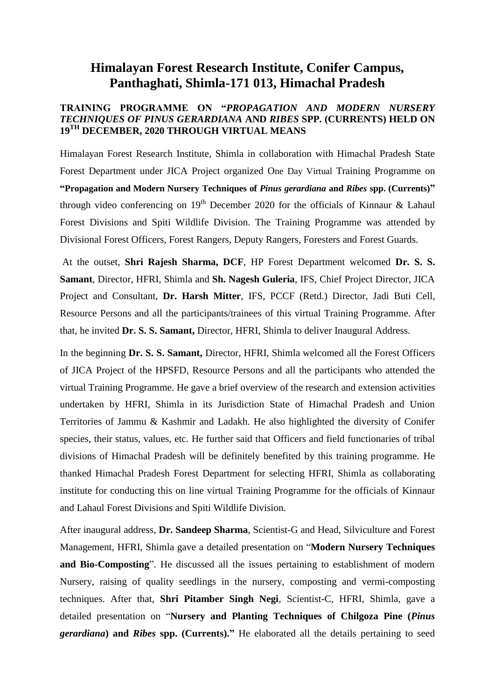## **Himalayan Forest Research Institute, Conifer Campus, Panthaghati, Shimla-171 013, Himachal Pradesh**

## **TRAINING PROGRAMME ON "***PROPAGATION AND MODERN NURSERY TECHNIQUES OF PINUS GERARDIANA* **AND** *RIBES* **SPP. (CURRENTS) HELD ON 19TH DECEMBER, 2020 THROUGH VIRTUAL MEANS**

Himalayan Forest Research Institute, Shimla in collaboration with Himachal Pradesh State Forest Department under JICA Project organized One Day Virtual Training Programme on **"Propagation and Modern Nursery Techniques of** *Pinus gerardiana* **and** *Ribes* **spp. (Currents)"**  through video conferencing on  $19<sup>th</sup>$  December 2020 for the officials of Kinnaur & Lahaul Forest Divisions and Spiti Wildlife Division. The Training Programme was attended by Divisional Forest Officers, Forest Rangers, Deputy Rangers, Foresters and Forest Guards.

At the outset, **Shri Rajesh Sharma, DCF**, HP Forest Department welcomed **Dr. S. S. Samant**, Director, HFRI, Shimla and **Sh. Nagesh Guleria**, IFS, Chief Project Director, JICA Project and Consultant, **Dr. Harsh Mitter**, IFS, PCCF (Retd.) Director, Jadi Buti Cell, Resource Persons and all the participants/trainees of this virtual Training Programme. After that, he invited **Dr. S. S. Samant,** Director, HFRI, Shimla to deliver Inaugural Address.

In the beginning **Dr. S. S. Samant,** Director, HFRI, Shimla welcomed all the Forest Officers of JICA Project of the HPSFD, Resource Persons and all the participants who attended the virtual Training Programme. He gave a brief overview of the research and extension activities undertaken by HFRI, Shimla in its Jurisdiction State of Himachal Pradesh and Union Territories of Jammu & Kashmir and Ladakh. He also highlighted the diversity of Conifer species, their status, values, etc. He further said that Officers and field functionaries of tribal divisions of Himachal Pradesh will be definitely benefited by this training programme. He thanked Himachal Pradesh Forest Department for selecting HFRI, Shimla as collaborating institute for conducting this on line virtual Training Programme for the officials of Kinnaur and Lahaul Forest Divisions and Spiti Wildlife Division.

After inaugural address, **Dr. Sandeep Sharma**, Scientist-G and Head, Silviculture and Forest Management, HFRI, Shimla gave a detailed presentation on "**Modern Nursery Techniques and Bio-Composting**". He discussed all the issues pertaining to establishment of modern Nursery, raising of quality seedlings in the nursery, composting and vermi-composting techniques. After that, **Shri Pitamber Singh Negi**, Scientist-C, HFRI, Shimla, gave a detailed presentation on "**Nursery and Planting Techniques of Chilgoza Pine (***Pinus gerardiana***) and** *Ribes* **spp. (Currents)."** He elaborated all the details pertaining to seed